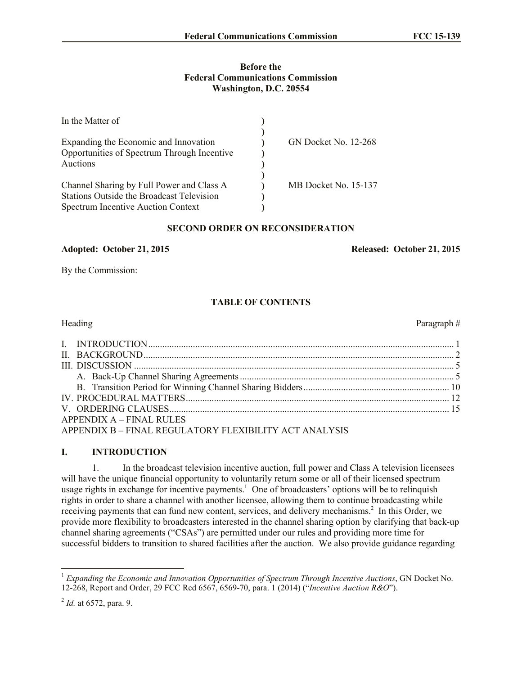#### **Before the Federal Communications Commission Washington, D.C. 20554**

| In the Matter of                                 |                             |
|--------------------------------------------------|-----------------------------|
|                                                  |                             |
| Expanding the Economic and Innovation            | <b>GN Docket No. 12-268</b> |
| Opportunities of Spectrum Through Incentive      |                             |
| Auctions                                         |                             |
| Channel Sharing by Full Power and Class A        | MB Docket No. 15-137        |
|                                                  |                             |
| <b>Stations Outside the Broadcast Television</b> |                             |
| <b>Spectrum Incentive Auction Context</b>        |                             |

## **SECOND ORDER ON RECONSIDERATION**

**Adopted: October 21, 2015 Released: October 21, 2015**

By the Commission:

# **TABLE OF CONTENTS**

| Heading                                                | Paragraph# |
|--------------------------------------------------------|------------|
|                                                        |            |
|                                                        |            |
|                                                        |            |
|                                                        |            |
|                                                        |            |
|                                                        |            |
|                                                        |            |
| APPENDIX A - FINAL RULES                               |            |
| APPENDIX B - FINAL REGULATORY FLEXIBILITY ACT ANALYSIS |            |

#### **I. INTRODUCTION**

1. In the broadcast television incentive auction, full power and Class A television licensees will have the unique financial opportunity to voluntarily return some or all of their licensed spectrum usage rights in exchange for incentive payments.<sup>1</sup> One of broadcasters' options will be to relinquish rights in order to share a channel with another licensee, allowing them to continue broadcasting while receiving payments that can fund new content, services, and delivery mechanisms.<sup>2</sup> In this Order, we provide more flexibility to broadcasters interested in the channel sharing option by clarifying that back-up channel sharing agreements ("CSAs") are permitted under our rules and providing more time for successful bidders to transition to shared facilities after the auction. We also provide guidance regarding

 $\overline{\phantom{a}}$ 

<sup>&</sup>lt;sup>1</sup> Expanding the Economic and Innovation Opportunities of Spectrum Through Incentive Auctions, GN Docket No. 12-268, Report and Order, 29 FCC Rcd 6567, 6569-70, para. 1 (2014) ("*Incentive Auction R&O*").

<sup>2</sup> *Id.* at 6572, para. 9.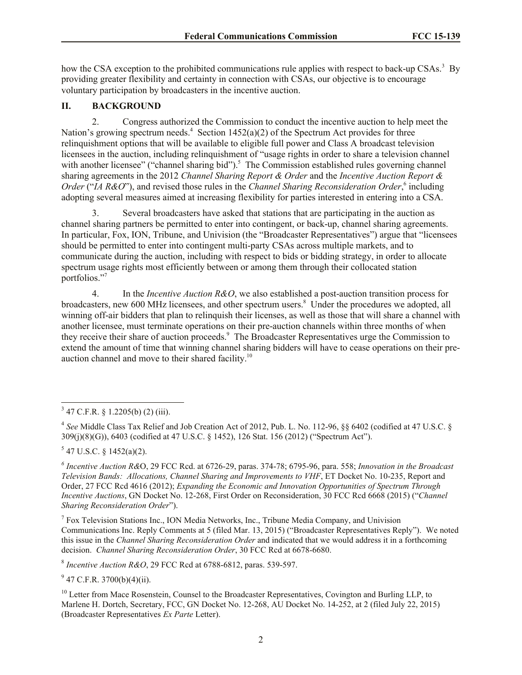how the CSA exception to the prohibited communications rule applies with respect to back-up CSAs.<sup>3</sup> By providing greater flexibility and certainty in connection with CSAs, our objective is to encourage voluntary participation by broadcasters in the incentive auction.

#### **II. BACKGROUND**

2. Congress authorized the Commission to conduct the incentive auction to help meet the Nation's growing spectrum needs.<sup>4</sup> Section 1452(a)(2) of the Spectrum Act provides for three relinquishment options that will be available to eligible full power and Class A broadcast television licensees in the auction, including relinquishment of "usage rights in order to share a television channel with another licensee" ("channel sharing bid").<sup>5</sup> The Commission established rules governing channel sharing agreements in the 2012 *Channel Sharing Report & Order* and the *Incentive Auction Report &* Order ("IA R&O"), and revised those rules in the *Channel Sharing Reconsideration Order*, <sup>6</sup> including adopting several measures aimed at increasing flexibility for parties interested in entering into a CSA.

3. Several broadcasters have asked that stations that are participating in the auction as channel sharing partners be permitted to enter into contingent, or back-up, channel sharing agreements. In particular, Fox, ION, Tribune, and Univision (the "Broadcaster Representatives") argue that "licensees should be permitted to enter into contingent multi-party CSAs across multiple markets, and to communicate during the auction, including with respect to bids or bidding strategy, in order to allocate spectrum usage rights most efficiently between or among them through their collocated station portfolios."<sup>7</sup>

4. In the *Incentive Auction R&O*, we also established a post-auction transition process for broadcasters, new 600 MHz licensees, and other spectrum users.<sup>8</sup> Under the procedures we adopted, all winning off-air bidders that plan to relinquish their licenses, as well as those that will share a channel with another licensee, must terminate operations on their pre-auction channels within three months of when they receive their share of auction proceeds.<sup>9</sup> The Broadcaster Representatives urge the Commission to extend the amount of time that winning channel sharing bidders will have to cease operations on their preauction channel and move to their shared facility.<sup>10</sup>

 $5$  47 U.S.C. § 1452(a)(2).

l

*6 Incentive Auction R&*O, 29 FCC Rcd. at 6726-29, paras. 374-78; 6795-96, para. 558; *Innovation in the Broadcast Television Bands: Allocations, Channel Sharing and Improvements to VHF*, ET Docket No. 10-235, Report and Order, 27 FCC Rcd 4616 (2012); *Expanding the Economic and Innovation Opportunities of Spectrum Through Incentive Auctions*, GN Docket No. 12-268, First Order on Reconsideration, 30 FCC Rcd 6668 (2015) ("*Channel Sharing Reconsideration Order*").

<sup>7</sup> Fox Television Stations Inc., ION Media Networks, Inc., Tribune Media Company, and Univision Communications Inc. Reply Comments at 5 (filed Mar. 13, 2015) ("Broadcaster Representatives Reply"). We noted this issue in the *Channel Sharing Reconsideration Order* and indicated that we would address it in a forthcoming decision. *Channel Sharing Reconsideration Order*, 30 FCC Rcd at 6678-6680.

8 *Incentive Auction R&O*, 29 FCC Rcd at 6788-6812, paras. 539-597.

 $9^9$  47 C.F.R. 3700(b)(4)(ii).

<sup>10</sup> Letter from Mace Rosenstein, Counsel to the Broadcaster Representatives, Covington and Burling LLP, to Marlene H. Dortch, Secretary, FCC, GN Docket No. 12-268, AU Docket No. 14-252, at 2 (filed July 22, 2015) (Broadcaster Representatives *Ex Parte* Letter).

 $3$  47 C.F.R. § 1.2205(b) (2) (iii).

<sup>4</sup> *See* Middle Class Tax Relief and Job Creation Act of 2012, Pub. L. No. 112-96, §§ 6402 (codified at 47 U.S.C. § 309(j)(8)(G)), 6403 (codified at 47 U.S.C. § 1452), 126 Stat. 156 (2012) ("Spectrum Act").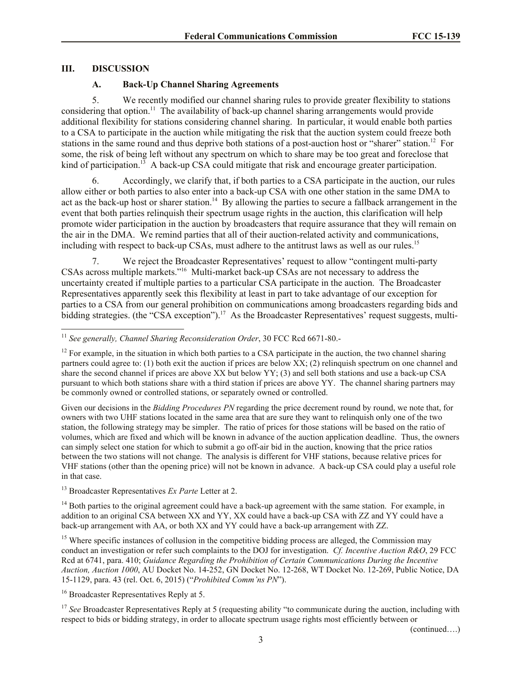## **III. DISCUSSION**

## **A. Back-Up Channel Sharing Agreements**

5. We recently modified our channel sharing rules to provide greater flexibility to stations considering that option.<sup>11</sup> The availability of back-up channel sharing arrangements would provide additional flexibility for stations considering channel sharing. In particular, it would enable both parties to a CSA to participate in the auction while mitigating the risk that the auction system could freeze both stations in the same round and thus deprive both stations of a post-auction host or "sharer" station.<sup>12</sup> For some, the risk of being left without any spectrum on which to share may be too great and foreclose that kind of participation.<sup>13</sup> A back-up CSA could mitigate that risk and encourage greater participation.

6. Accordingly, we clarify that, if both parties to a CSA participate in the auction, our rules allow either or both parties to also enter into a back-up CSA with one other station in the same DMA to act as the back-up host or sharer station.<sup>14</sup> By allowing the parties to secure a fallback arrangement in the event that both parties relinquish their spectrum usage rights in the auction, this clarification will help promote wider participation in the auction by broadcasters that require assurance that they will remain on the air in the DMA. We remind parties that all of their auction-related activity and communications, including with respect to back-up CSAs, must adhere to the antitrust laws as well as our rules. 15

7. We reject the Broadcaster Representatives' request to allow "contingent multi-party CSAs across multiple markets."<sup>16</sup> Multi-market back-up CSAs are not necessary to address the uncertainty created if multiple parties to a particular CSA participate in the auction. The Broadcaster Representatives apparently seek this flexibility at least in part to take advantage of our exception for parties to a CSA from our general prohibition on communications among broadcasters regarding bids and bidding strategies. (the "CSA exception").<sup>17</sup> As the Broadcaster Representatives' request suggests, multi-

Given our decisions in the *Bidding Procedures PN* regarding the price decrement round by round, we note that, for owners with two UHF stations located in the same area that are sure they want to relinquish only one of the two station, the following strategy may be simpler. The ratio of prices for those stations will be based on the ratio of volumes, which are fixed and which will be known in advance of the auction application deadline. Thus, the owners can simply select one station for which to submit a go off-air bid in the auction, knowing that the price ratios between the two stations will not change. The analysis is different for VHF stations, because relative prices for VHF stations (other than the opening price) will not be known in advance. A back-up CSA could play a useful role in that case.

<sup>13</sup> Broadcaster Representatives *Ex Parte* Letter at 2.

<sup>14</sup> Both parties to the original agreement could have a back-up agreement with the same station. For example, in addition to an original CSA between XX and YY, XX could have a back-up CSA with ZZ and YY could have a back-up arrangement with AA, or both XX and YY could have a back-up arrangement with ZZ.

<sup>15</sup> Where specific instances of collusion in the competitive bidding process are alleged, the Commission may conduct an investigation or refer such complaints to the DOJ for investigation. *Cf. Incentive Auction R&O*, 29 FCC Rcd at 6741, para. 410; *Guidance Regarding the Prohibition of Certain Communications During the Incentive Auction, Auction 1000*, AU Docket No. 14-252, GN Docket No. 12-268, WT Docket No. 12-269, Public Notice, DA 15-1129, para. 43 (rel. Oct. 6, 2015) ("*Prohibited Comm'ns PN*").

<sup>16</sup> Broadcaster Representatives Reply at 5.

<sup>17</sup> See Broadcaster Representatives Reply at 5 (requesting ability "to communicate during the auction, including with respect to bids or bidding strategy, in order to allocate spectrum usage rights most efficiently between or

(continued….)

l <sup>11</sup> See generally, Channel Sharing Reconsideration Order, 30 FCC Rcd 6671-80.-

<sup>&</sup>lt;sup>12</sup> For example, in the situation in which both parties to a CSA participate in the auction, the two channel sharing partners could agree to: (1) both exit the auction if prices are below XX; (2) relinquish spectrum on one channel and share the second channel if prices are above XX but below YY; (3) and sell both stations and use a back-up CSA pursuant to which both stations share with a third station if prices are above YY. The channel sharing partners may be commonly owned or controlled stations, or separately owned or controlled.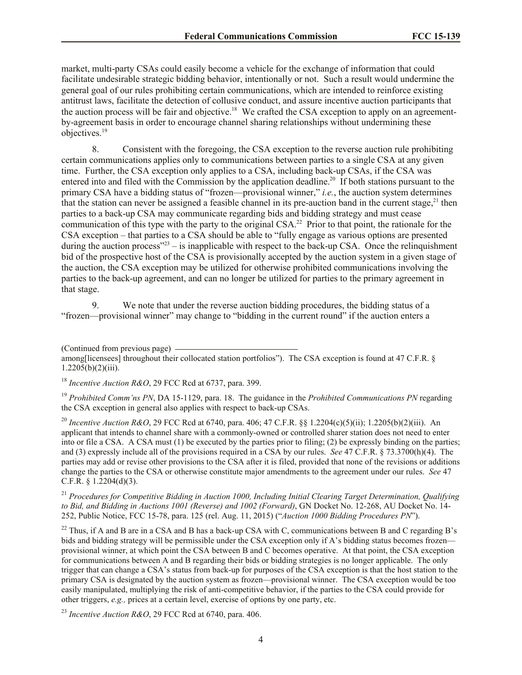market, multi-party CSAs could easily become a vehicle for the exchange of information that could facilitate undesirable strategic bidding behavior, intentionally or not. Such a result would undermine the general goal of our rules prohibiting certain communications, which are intended to reinforce existing antitrust laws, facilitate the detection of collusive conduct, and assure incentive auction participants that the auction process will be fair and objective.<sup>18</sup> We crafted the CSA exception to apply on an agreementby-agreement basis in order to encourage channel sharing relationships without undermining these objectives.<sup>19</sup>

8. Consistent with the foregoing, the CSA exception to the reverse auction rule prohibiting certain communications applies only to communications between parties to a single CSA at any given time. Further, the CSA exception only applies to a CSA, including back-up CSAs, if the CSA was entered into and filed with the Commission by the application deadline.<sup>20</sup> If both stations pursuant to the primary CSA have a bidding status of "frozen—provisional winner," *i.e.*, the auction system determines that the station can never be assigned a feasible channel in its pre-auction band in the current stage,<sup>21</sup> then parties to a back-up CSA may communicate regarding bids and bidding strategy and must cease communication of this type with the party to the original  $CSA<sup>2</sup>$ . Prior to that point, the rationale for the CSA exception – that parties to a CSA should be able to "fully engage as various options are presented during the auction process<sup> $23$ </sup> – is inapplicable with respect to the back-up CSA. Once the relinquishment bid of the prospective host of the CSA is provisionally accepted by the auction system in a given stage of the auction, the CSA exception may be utilized for otherwise prohibited communications involving the parties to the back-up agreement, and can no longer be utilized for parties to the primary agreement in that stage.

9. We note that under the reverse auction bidding procedures, the bidding status of a "frozen—provisional winner" may change to "bidding in the current round" if the auction enters a

<sup>18</sup> *Incentive Auction R&O*, 29 FCC Rcd at 6737, para. 399.

<sup>19</sup> *Prohibited Comm'ns PN*, DA 15-1129, para. 18. The guidance in the *Prohibited Communications PN* regarding the CSA exception in general also applies with respect to back-up CSAs.

<sup>20</sup> *Incentive Auction R&O*, 29 FCC Rcd at 6740, para. 406; 47 C.F.R. §§ 1.2204(c)(5)(ii); 1.2205(b)(2)(iii). An applicant that intends to channel share with a commonly-owned or controlled sharer station does not need to enter into or file a CSA. A CSA must (1) be executed by the parties prior to filing; (2) be expressly binding on the parties; and (3) expressly include all of the provisions required in a CSA by our rules. *See* 47 C.F.R. § 73.3700(h)(4). The parties may add or revise other provisions to the CSA after it is filed, provided that none of the revisions or additions change the parties to the CSA or otherwise constitute major amendments to the agreement under our rules. *See* 47 C.F.R. § 1.2204(d)(3).

<sup>21</sup> *Procedures for Competitive Bidding in Auction 1000, Including Initial Clearing Target Determination, Qualifying to Bid, and Bidding in Auctions 1001 (Reverse) and 1002 (Forward)*, GN Docket No. 12-268, AU Docket No. 14- 252, Public Notice, FCC 15-78, para. 125 (rel. Aug. 11, 2015) ("*Auction 1000 Bidding Procedures PN*").

<sup>22</sup> Thus, if A and B are in a CSA and B has a back-up CSA with C, communications between B and C regarding B's bids and bidding strategy will be permissible under the CSA exception only if A's bidding status becomes frozen provisional winner, at which point the CSA between B and C becomes operative. At that point, the CSA exception for communications between A and B regarding their bids or bidding strategies is no longer applicable. The only trigger that can change a CSA's status from back-up for purposes of the CSA exception is that the host station to the primary CSA is designated by the auction system as frozen—provisional winner. The CSA exception would be too easily manipulated, multiplying the risk of anti-competitive behavior, if the parties to the CSA could provide for other triggers, *e.g.,* prices at a certain level, exercise of options by one party, etc.

<sup>23</sup> *Incentive Auction R&O*, 29 FCC Rcd at 6740, para. 406.

<sup>(</sup>Continued from previous page)

among[licensees] throughout their collocated station portfolios"). The CSA exception is found at 47 C.F.R. §  $1.2205(b)(2)(iii)$ .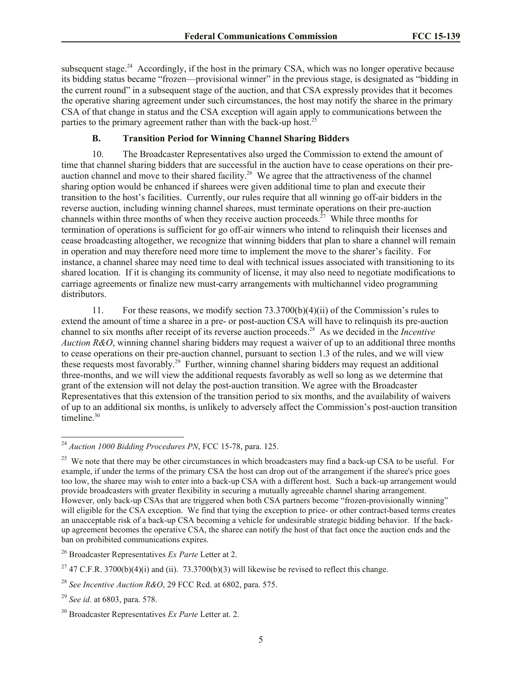subsequent stage.<sup>24</sup> Accordingly, if the host in the primary CSA, which was no longer operative because its bidding status became "frozen—provisional winner" in the previous stage, is designated as "bidding in the current round" in a subsequent stage of the auction, and that CSA expressly provides that it becomes the operative sharing agreement under such circumstances, the host may notify the sharee in the primary CSA of that change in status and the CSA exception will again apply to communications between the parties to the primary agreement rather than with the back-up host.<sup>25</sup>

#### **B. Transition Period for Winning Channel Sharing Bidders**

10. The Broadcaster Representatives also urged the Commission to extend the amount of time that channel sharing bidders that are successful in the auction have to cease operations on their preauction channel and move to their shared facility.<sup>26</sup> We agree that the attractiveness of the channel sharing option would be enhanced if sharees were given additional time to plan and execute their transition to the host's facilities. Currently, our rules require that all winning go off-air bidders in the reverse auction, including winning channel sharees, must terminate operations on their pre-auction channels within three months of when they receive auction proceeds.<sup>27</sup> While three months for termination of operations is sufficient for go off-air winners who intend to relinquish their licenses and cease broadcasting altogether, we recognize that winning bidders that plan to share a channel will remain in operation and may therefore need more time to implement the move to the sharer's facility. For instance, a channel sharee may need time to deal with technical issues associated with transitioning to its shared location. If it is changing its community of license, it may also need to negotiate modifications to carriage agreements or finalize new must-carry arrangements with multichannel video programming distributors.

11. For these reasons, we modify section 73.3700(b)(4)(ii) of the Commission's rules to extend the amount of time a sharee in a pre- or post-auction CSA will have to relinquish its pre-auction channel to six months after receipt of its reverse auction proceeds.<sup>28</sup> As we decided in the *Incentive Auction R&O*, winning channel sharing bidders may request a waiver of up to an additional three months to cease operations on their pre-auction channel, pursuant to section 1.3 of the rules, and we will view these requests most favorably.<sup>29</sup> Further, winning channel sharing bidders may request an additional three-months, and we will view the additional requests favorably as well so long as we determine that grant of the extension will not delay the post-auction transition. We agree with the Broadcaster Representatives that this extension of the transition period to six months, and the availability of waivers of up to an additional six months, is unlikely to adversely affect the Commission's post-auction transition timeline.<sup>30</sup>

 $\overline{\phantom{a}}$ 

<sup>24</sup> *Auction 1000 Bidding Procedures PN*, FCC 15-78, para. 125.

 $25$  We note that there may be other circumstances in which broadcasters may find a back-up CSA to be useful. For example, if under the terms of the primary CSA the host can drop out of the arrangement if the sharee's price goes too low, the sharee may wish to enter into a back-up CSA with a different host. Such a back-up arrangement would provide broadcasters with greater flexibility in securing a mutually agreeable channel sharing arrangement. However, only back-up CSAs that are triggered when both CSA partners become "frozen-provisionally winning" will eligible for the CSA exception. We find that tying the exception to price- or other contract-based terms creates an unacceptable risk of a back-up CSA becoming a vehicle for undesirable strategic bidding behavior. If the backup agreement becomes the operative CSA, the sharee can notify the host of that fact once the auction ends and the ban on prohibited communications expires.

<sup>26</sup> Broadcaster Representatives *Ex Parte* Letter at 2.

<sup>&</sup>lt;sup>27</sup> 47 C.F.R. 3700(b)(4)(i) and (ii). 73.3700(b)(3) will likewise be revised to reflect this change.

<sup>28</sup> *See Incentive Auction R&O*, 29 FCC Rcd. at 6802, para. 575.

<sup>29</sup> *See id.* at 6803, para. 578.

<sup>30</sup> Broadcaster Representatives *Ex Parte* Letter at. 2.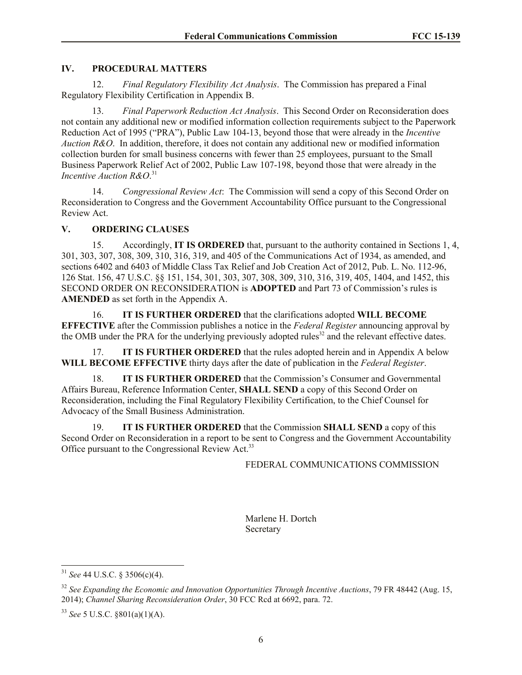#### **IV. PROCEDURAL MATTERS**

12. *Final Regulatory Flexibility Act Analysis*.The Commission has prepared a Final Regulatory Flexibility Certification in Appendix B.

13. *Final Paperwork Reduction Act Analysis*. This Second Order on Reconsideration does not contain any additional new or modified information collection requirements subject to the Paperwork Reduction Act of 1995 ("PRA"), Public Law 104-13, beyond those that were already in the *Incentive Auction R&O*. In addition, therefore, it does not contain any additional new or modified information collection burden for small business concerns with fewer than 25 employees, pursuant to the Small Business Paperwork Relief Act of 2002, Public Law 107-198, beyond those that were already in the *Incentive Auction R&O*. 31

14. *Congressional Review Act*: The Commission will send a copy of this Second Order on Reconsideration to Congress and the Government Accountability Office pursuant to the Congressional Review Act.

#### **V. ORDERING CLAUSES**

15. Accordingly, **IT IS ORDERED** that, pursuant to the authority contained in Sections 1, 4, 301, 303, 307, 308, 309, 310, 316, 319, and 405 of the Communications Act of 1934, as amended, and sections 6402 and 6403 of Middle Class Tax Relief and Job Creation Act of 2012, Pub. L. No. 112-96, 126 Stat. 156, 47 U.S.C. §§ 151, 154, 301, 303, 307, 308, 309, 310, 316, 319, 405, 1404, and 1452, this SECOND ORDER ON RECONSIDERATION is **ADOPTED** and Part 73 of Commission's rules is **AMENDED** as set forth in the Appendix A.

16. **IT IS FURTHER ORDERED** that the clarifications adopted **WILL BECOME EFFECTIVE** after the Commission publishes a notice in the *Federal Register* announcing approval by the OMB under the PRA for the underlying previously adopted rules<sup>32</sup> and the relevant effective dates.

17. **IT IS FURTHER ORDERED** that the rules adopted herein and in Appendix A below **WILL BECOME EFFECTIVE** thirty days after the date of publication in the *Federal Register*.

18. **IT IS FURTHER ORDERED** that the Commission's Consumer and Governmental Affairs Bureau, Reference Information Center, **SHALL SEND** a copy of this Second Order on Reconsideration, including the Final Regulatory Flexibility Certification, to the Chief Counsel for Advocacy of the Small Business Administration.

19. **IT IS FURTHER ORDERED** that the Commission **SHALL SEND** a copy of this Second Order on Reconsideration in a report to be sent to Congress and the Government Accountability Office pursuant to the Congressional Review Act.<sup>33</sup>

FEDERAL COMMUNICATIONS COMMISSION

Marlene H. Dortch Secretary

 $\overline{\phantom{a}}$ 

<sup>31</sup> *See* 44 U.S.C. § 3506(c)(4).

<sup>32</sup> *See Expanding the Economic and Innovation Opportunities Through Incentive Auctions*, 79 FR 48442 (Aug. 15, 2014); *Channel Sharing Reconsideration Order*, 30 FCC Rcd at 6692, para. 72.

<sup>33</sup> *See* 5 U.S.C. §801(a)(1)(A).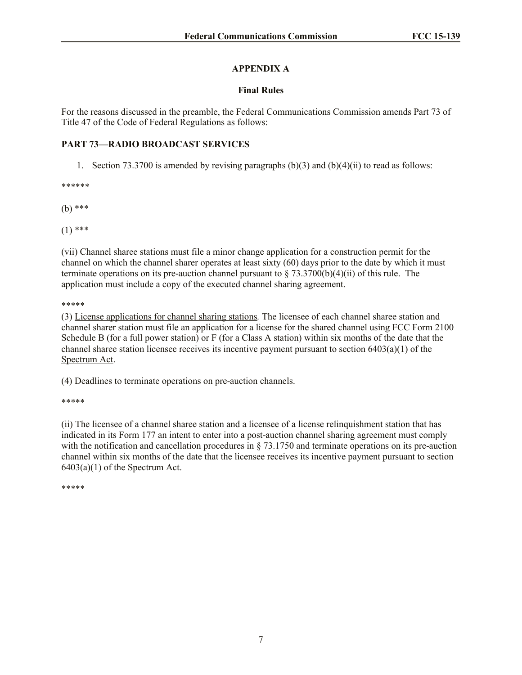# **APPENDIX A**

## **Final Rules**

For the reasons discussed in the preamble, the Federal Communications Commission amends Part 73 of Title 47 of the Code of Federal Regulations as follows:

### **PART 73—RADIO BROADCAST SERVICES**

1. Section 73.3700 is amended by revising paragraphs  $(b)(3)$  and  $(b)(4)(ii)$  to read as follows:

\*\*\*\*\*\*

(b) \*\*\*

 $(1)$  \*\*\*

(vii) Channel sharee stations must file a minor change application for a construction permit for the channel on which the channel sharer operates at least sixty (60) days prior to the date by which it must terminate operations on its pre-auction channel pursuant to  $\S$  73.3700(b)(4)(ii) of this rule. The application must include a copy of the executed channel sharing agreement.

\*\*\*\*\*

(3) License applications for channel sharing stations*.* The licensee of each channel sharee station and channel sharer station must file an application for a license for the shared channel using FCC Form 2100 Schedule B (for a full power station) or F (for a Class A station) within six months of the date that the channel sharee station licensee receives its incentive payment pursuant to section 6403(a)(1) of the Spectrum Act.

(4) Deadlines to terminate operations on pre-auction channels.

\*\*\*\*\*

(ii) The licensee of a channel sharee station and a licensee of a license relinquishment station that has indicated in its Form 177 an intent to enter into a post-auction channel sharing agreement must comply with the notification and cancellation procedures in § 73.1750 and terminate operations on its pre-auction channel within six months of the date that the licensee receives its incentive payment pursuant to section  $6403(a)(1)$  of the Spectrum Act.

\*\*\*\*\*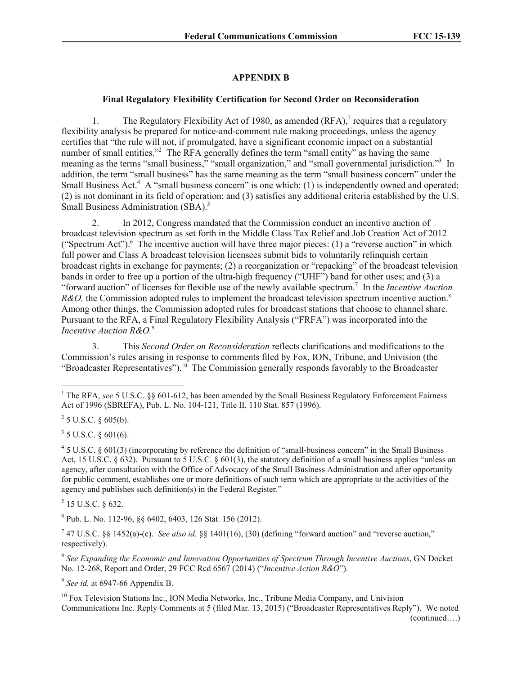## **APPENDIX B**

### **Final Regulatory Flexibility Certification for Second Order on Reconsideration**

1. The Regulatory Flexibility Act of 1980, as amended  $(RFA)$ , requires that a regulatory flexibility analysis be prepared for notice-and-comment rule making proceedings, unless the agency certifies that "the rule will not, if promulgated, have a significant economic impact on a substantial number of small entities."<sup>2</sup> The RFA generally defines the term "small entity" as having the same meaning as the terms "small business," "small organization," and "small governmental jurisdiction."<sup>3</sup> In addition, the term "small business" has the same meaning as the term "small business concern" under the Small Business Act.<sup>4</sup> A "small business concern" is one which: (1) is independently owned and operated; (2) is not dominant in its field of operation; and (3) satisfies any additional criteria established by the U.S. Small Business Administration (SBA).<sup>5</sup>

2. In 2012, Congress mandated that the Commission conduct an incentive auction of broadcast television spectrum as set forth in the Middle Class Tax Relief and Job Creation Act of 2012 ("Spectrum Act"). $6$  The incentive auction will have three major pieces: (1) a "reverse auction" in which full power and Class A broadcast television licensees submit bids to voluntarily relinquish certain broadcast rights in exchange for payments; (2) a reorganization or "repacking" of the broadcast television bands in order to free up a portion of the ultra-high frequency ("UHF") band for other uses; and (3) a "forward auction" of licenses for flexible use of the newly available spectrum. 7 In the *Incentive Auction R&O*, the Commission adopted rules to implement the broadcast television spectrum incentive auction.<sup>8</sup> Among other things, the Commission adopted rules for broadcast stations that choose to channel share. Pursuant to the RFA, a Final Regulatory Flexibility Analysis ("FRFA") was incorporated into the *Incentive Auction R&O.* 9

3. This *Second Order on Reconsideration* reflects clarifications and modifications to the Commission's rules arising in response to comments filed by Fox, ION, Tribune, and Univision (the "Broadcaster Representatives").<sup>10</sup> The Commission generally responds favorably to the Broadcaster

 $2^2$  5 U.S.C. § 605(b).

l

 $3$  5 U.S.C. § 601(6).

 $45$  U.S.C. § 601(3) (incorporating by reference the definition of "small-business concern" in the Small Business Act, 15 U.S.C. § 632). Pursuant to 5 U.S.C. § 601(3), the statutory definition of a small business applies "unless an agency, after consultation with the Office of Advocacy of the Small Business Administration and after opportunity for public comment, establishes one or more definitions of such term which are appropriate to the activities of the agency and publishes such definition(s) in the Federal Register."

 $5$  15 U.S.C. § 632.

6 Pub. L. No. 112-96, §§ 6402, 6403, 126 Stat. 156 (2012).

<sup>7</sup> 47 U.S.C. §§ 1452(a)-(c). *See also id.* §§ 1401(16), (30) (defining "forward auction" and "reverse auction," respectively).

8 *See Expanding the Economic and Innovation Opportunities of Spectrum Through Incentive Auctions*, GN Docket No. 12-268, Report and Order, 29 FCC Rcd 6567 (2014) ("*Incentive Action R&O*").

9 *See id.* at 6947-66 Appendix B.

 $10$  Fox Television Stations Inc., ION Media Networks, Inc., Tribune Media Company, and Univision Communications Inc. Reply Comments at 5 (filed Mar. 13, 2015) ("Broadcaster Representatives Reply"). We noted

(continued….)

<sup>&</sup>lt;sup>1</sup> The RFA, *see* 5 U.S.C. §§ 601-612, has been amended by the Small Business Regulatory Enforcement Fairness Act of 1996 (SBREFA), Pub. L. No. 104-121, Title II, 110 Stat. 857 (1996).